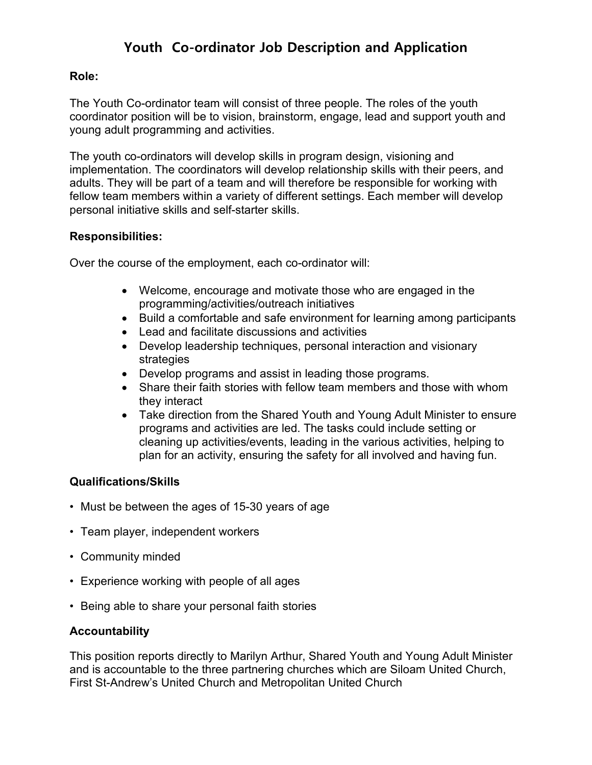# **Youth Co-ordinator Job Description and Application**

#### **Role:**

The Youth Co-ordinator team will consist of three people. The roles of the youth coordinator position will be to vision, brainstorm, engage, lead and support youth and young adult programming and activities.

The youth co-ordinators will develop skills in program design, visioning and implementation. The coordinators will develop relationship skills with their peers, and adults. They will be part of a team and will therefore be responsible for working with fellow team members within a variety of different settings. Each member will develop personal initiative skills and self-starter skills.

#### **Responsibilities:**

Over the course of the employment, each co-ordinator will:

- Welcome, encourage and motivate those who are engaged in the programming/activities/outreach initiatives
- Build a comfortable and safe environment for learning among participants
- Lead and facilitate discussions and activities
- Develop leadership techniques, personal interaction and visionary strategies
- Develop programs and assist in leading those programs.
- Share their faith stories with fellow team members and those with whom they interact
- Take direction from the Shared Youth and Young Adult Minister to ensure programs and activities are led. The tasks could include setting or cleaning up activities/events, leading in the various activities, helping to plan for an activity, ensuring the safety for all involved and having fun.

### **Qualifications/Skills**

- Must be between the ages of 15-30 years of age
- Team player, independent workers
- Community minded
- Experience working with people of all ages
- Being able to share your personal faith stories

### **Accountability**

This position reports directly to Marilyn Arthur, Shared Youth and Young Adult Minister and is accountable to the three partnering churches which are Siloam United Church, First St-Andrew's United Church and Metropolitan United Church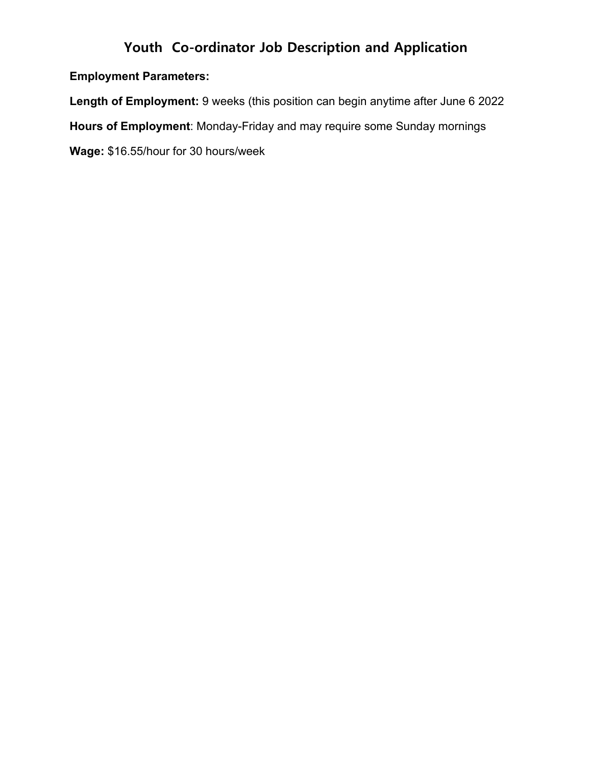# **Youth Co-ordinator Job Description and Application**

## **Employment Parameters:**

**Length of Employment:** 9 weeks (this position can begin anytime after June 6 2022 **Hours of Employment**: Monday-Friday and may require some Sunday mornings **Wage:** \$16.55/hour for 30 hours/week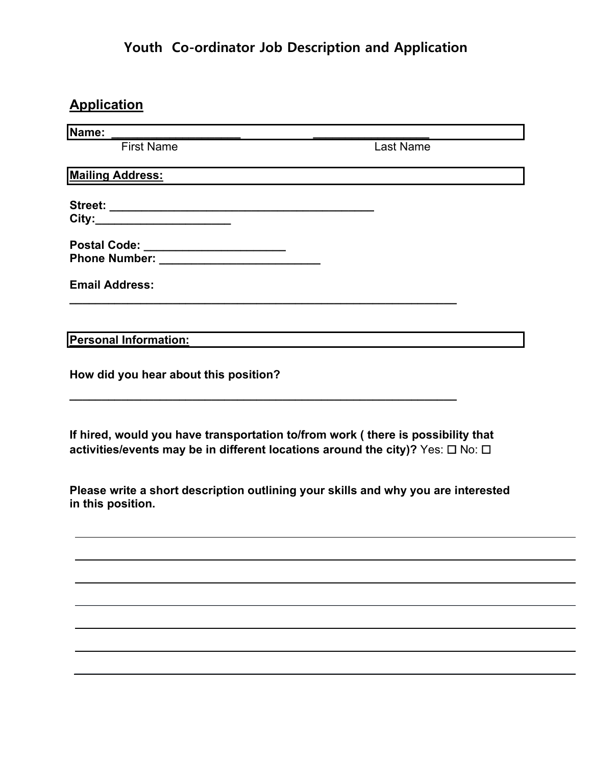# **Youth Co-ordinator Job Description and Application**

# **Application**

| Name:                                                                                                                                                                                                                               |                  |
|-------------------------------------------------------------------------------------------------------------------------------------------------------------------------------------------------------------------------------------|------------------|
| <b>First Name</b>                                                                                                                                                                                                                   | <b>Last Name</b> |
| <b>Mailing Address:</b>                                                                                                                                                                                                             |                  |
|                                                                                                                                                                                                                                     |                  |
| City:_________________________                                                                                                                                                                                                      |                  |
| Postal Code: ________________________                                                                                                                                                                                               |                  |
| <b>Phone Number:</b> The Contract of the Contract of the Contract of the Contract of the Contract of the Contract of the Contract of the Contract of the Contract of the Contract of the Contract of the Contract of the Contract o |                  |
| <b>Email Address:</b>                                                                                                                                                                                                               |                  |
|                                                                                                                                                                                                                                     |                  |
|                                                                                                                                                                                                                                     |                  |
| <b>Personal Information:</b>                                                                                                                                                                                                        |                  |
| How did you hear about this position?                                                                                                                                                                                               |                  |
|                                                                                                                                                                                                                                     |                  |
| If hired, would you have transportation to/from work (there is possibility that                                                                                                                                                     |                  |
| activities/events may be in different locations around the city)? Yes: $\square$ No: $\square$                                                                                                                                      |                  |
| Please write a short description outlining your skills and why you are interested<br>in this position.                                                                                                                              |                  |